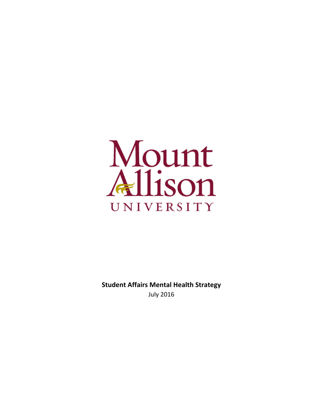

**Student Affairs Mental Health Strategy** July 2016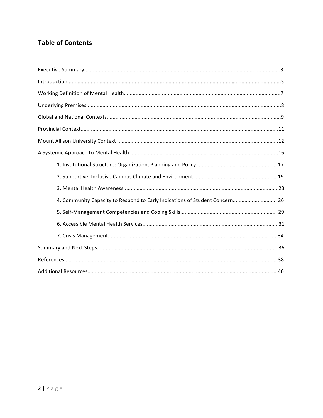# **Table of Contents**

| 4. Community Capacity to Respond to Early Indications of Student Concern 26 |
|-----------------------------------------------------------------------------|
|                                                                             |
|                                                                             |
|                                                                             |
|                                                                             |
|                                                                             |
|                                                                             |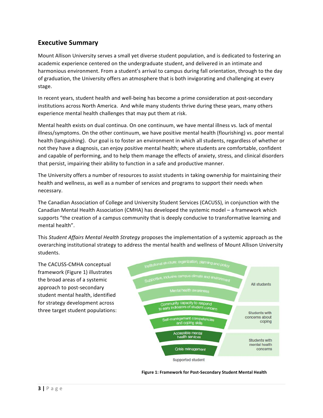## **Executive Summary**

Mount Allison University serves a small yet diverse student population, and is dedicated to fostering an academic experience centered on the undergraduate student, and delivered in an intimate and harmonious environment. From a student's arrival to campus during fall orientation, through to the day of graduation, the University offers an atmosphere that is both invigorating and challenging at every stage. 

In recent years, student health and well-being has become a prime consideration at post-secondary institutions across North America. And while many students thrive during these years, many others experience mental health challenges that may put them at risk.

Mental health exists on dual continua. On one continuum, we have mental illness vs. lack of mental illness/symptoms. On the other continuum, we have positive mental health (flourishing) vs. poor mental health (languishing). Our goal is to foster an environment in which all students, regardless of whether or not they have a diagnosis, can enjoy positive mental health; where students are comfortable, confident and capable of performing, and to help them manage the effects of anxiety, stress, and clinical disorders that persist, impairing their ability to function in a safe and productive manner.

The University offers a number of resources to assist students in taking ownership for maintaining their health and wellness, as well as a number of services and programs to support their needs when necessary. 

The Canadian Association of College and University Student Services (CACUSS), in conjunction with the Canadian Mental Health Association (CMHA) has developed the systemic model – a framework which supports "the creation of a campus community that is deeply conducive to transformative learning and mental health".

This *Student Affairs Mental Health Strategy* proposes the implementation of a systemic approach as the overarching institutional strategy to address the mental health and wellness of Mount Allison University students.

The CACUSS-CMHA conceptual framework (Figure 1) illustrates the broad areas of a systemic approach to post-secondary student mental health, identified for strategy development across three target student populations:



Figure 1: Framework for Post-Secondary Student Mental Health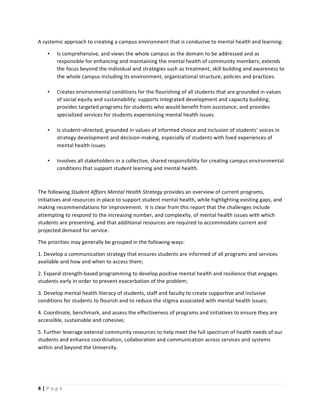A systemic approach to creating a campus environment that is conducive to mental health and learning:

- Is comprehensive, and views the whole campus as the domain to be addressed and as responsible for enhancing and maintaining the mental health of community members; extends the focus beyond the individual and strategies such as treatment, skill building and awareness to the whole campus including its environment, organizational structure, policies and practices.
- Creates environmental conditions for the flourishing of all students that are grounded in values of social equity and sustainability; supports integrated development and capacity building; provides targeted programs for students who would benefit from assistance; and provides specialized services for students experiencing mental health issues.
- Is student-directed, grounded in values of informed choice and inclusion of students' voices in strategy development and decision-making, especially of students with lived experiences of mental health issues.
- Involves all stakeholders in a collective, shared responsibility for creating campus environmental conditions that support student learning and mental health.

The following *Student Affairs Mental Health Strategy* provides an overview of current programs, initiatives and resources in place to support student mental health, while highlighting existing gaps, and making recommendations for improvement. It is clear from this report that the challenges include attempting to respond to the increasing number, and complexity, of mental health issues with which students are presenting, and that additional resources are required to accommodate current and projected demand for service.

The priorities may generally be grouped in the following ways:

1. Develop a communication strategy that ensures students are informed of all programs and services available and how and when to access them;

2. Expand strength-based programming to develop positive mental health and resilience that engages students early in order to prevent exacerbation of the problem;

3. Develop mental health literacy of students, staff and faculty to create supportive and inclusive conditions for students to flourish and to reduce the stigma associated with mental health issues;

4. Coordinate, benchmark, and assess the effectiveness of programs and initiatives to ensure they are accessible, sustainable and cohesive;

5. Further leverage external community resources to help meet the full spectrum of health needs of our students and enhance coordination, collaboration and communication across services and systems within and beyond the University.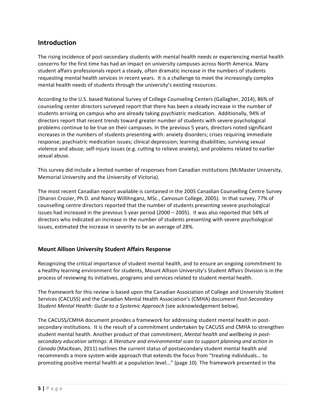## **Introduction**

The rising incidence of post-secondary students with mental health needs or experiencing mental health concerns for the first time has had an impact on university campuses across North America. Many student affairs professionals report a steady, often dramatic increase in the numbers of students requesting mental health services in recent years. It is a challenge to meet the increasingly complex mental health needs of students through the university's existing resources.

According to the U.S. based National Survey of College Counseling Centers (Gallagher, 2014), 86% of counseling center directors surveyed report that there has been a steady increase in the number of students arriving on campus who are already taking psychiatric medication. Additionally, 94% of directors report that recent trends toward greater number of students with severe psychological problems continue to be true on their campuses. In the previous 5 years, directors noted significant increases in the numbers of students presenting with: anxiety disorders; crises requiring immediate response; psychiatric medication issues; clinical depression; learning disabilities; surviving sexual violence and abuse; self-injury issues (e.g. cutting to relieve anxiety); and problems related to earlier sexual abuse.

This survey did include a limited number of responses from Canadian institutions (McMaster University, Memorial University and the University of Victoria).

The most recent Canadian report available is contained in the 2005 Canadian Counselling Centre Survey (Sharon Crozier, Ph.D. and Nancy Willihnganz, MSc., Camosun College, 2005). In that survey, 77% of counselling centre directors reported that the number of students presenting severe psychological issues had increased in the previous 5 year period (2000 – 2005). It was also reported that 54% of directors who indicated an increase in the number of students presenting with severe psychological issues, estimated the increase in severity to be an average of 28%.

## **Mount Allison University Student Affairs Response**

Recognizing the critical importance of student mental health, and to ensure an ongoing commitment to a healthy learning environment for students, Mount Allison University's Student Affairs Division is in the process of reviewing its initiatives, programs and services related to student mental health.

The framework for this review is based upon the Canadian Association of College and University Student Services (CACUSS) and the Canadian Mental Health Association's (CMHA) document *Post-Secondary Student Mental Health: Guide to a Systemic Approach* (see acknowledgement below).

The CACUSS/CMHA document provides a framework for addressing student mental health in postsecondary institutions. It is the result of a commitment undertaken by CACUSS and CMHA to strengthen student mental health. Another product of that commitment, *Mental health and wellbeing in post*secondary education settings: A literature and environmental scan to support planning and action in *Canada* (MacKean, 2011) outlines the current status of postsecondary student mental health and recommends a more system wide approach that extends the focus from "treating individuals... to promoting positive mental health at a population level..." (page 10). The framework presented in the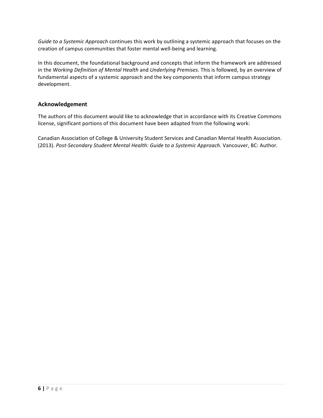*Guide to a Systemic Approach* continues this work by outlining a systemic approach that focuses on the creation of campus communities that foster mental well-being and learning.

In this document, the foundational background and concepts that inform the framework are addressed in the Working Definition of Mental Health and Underlying Premises. This is followed, by an overview of fundamental aspects of a systemic approach and the key components that inform campus strategy development.

## **Acknowledgement**

The authors of this document would like to acknowledge that in accordance with its Creative Commons license, significant portions of this document have been adapted from the following work:

Canadian Association of College & University Student Services and Canadian Mental Health Association. (2013). Post-Secondary Student Mental Health: Guide to a Systemic Approach. Vancouver, BC: Author.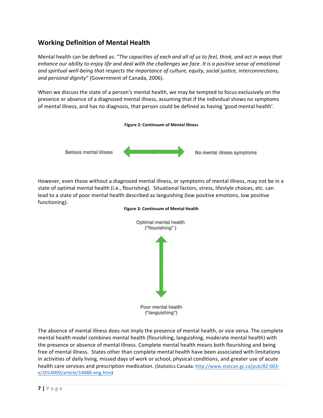# **Working Definition of Mental Health**

Mental health can be defined as: "The capacities of each and all of us to feel, think, and act in ways that *enhance* our ability to enjoy life and deal with the challenges we face. It is a positive sense of emotional and spiritual well-being that respects the importance of culture, equity, social justice, interconnections, and personal dignity" (Government of Canada, 2006).

When we discuss the state of a person's mental health, we may be tempted to focus exclusively on the presence or absence of a diagnosed mental illness, assuming that if the individual shows no symptoms of mental illness, and has no diagnosis, that person could be defined as having 'good mental health'.



However, even those without a diagnosed mental illness, or symptoms of mental illness, may not be in a state of optimal mental health (i.e., flourishing). Situational factors, stress, lifestyle choices, etc. can lead to a state of poor mental health described as languishing (low positive emotions, low positive functioning). 



#### **Figure 3: Continuum of Mental Health**

The absence of mental illness does not imply the presence of mental health, or vice versa. The complete mental health model combines mental health (flourishing, languishing, moderate mental health) with the presence or absence of mental illness. Complete mental health means both flourishing and being free of mental illness. States other than complete mental health have been associated with limitations in activities of daily living, missed days of work or school, physical conditions, and greater use of acute health care services and prescription medication. (Statistics Canada: http://www.statcan.gc.ca/pub/82-003x/2014009/article/14086-eng.htm)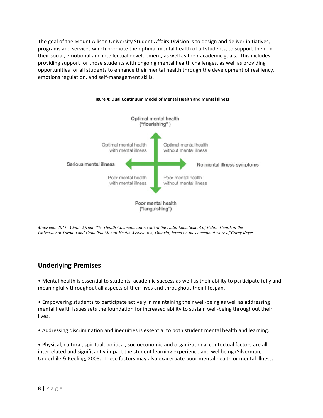The goal of the Mount Allison University Student Affairs Division is to design and deliver initiatives, programs and services which promote the optimal mental health of all students, to support them in their social, emotional and intellectual development, as well as their academic goals. This includes providing support for those students with ongoing mental health challenges, as well as providing opportunities for all students to enhance their mental health through the development of resiliency, emotions regulation, and self-management skills.



#### **Figure 4: Dual Continuum Model of Mental Health and Mental Illness**

*MacKean, 2011. Adapted from: The Health Communication Unit at the Dalla Lana School of Public Health at the University of Toronto and Canadian Mental Health Association, Ontario; based on the conceptual work of Corey Keyes*

## **Underlying Premises**

• Mental health is essential to students' academic success as well as their ability to participate fully and meaningfully throughout all aspects of their lives and throughout their lifespan.

• Empowering students to participate actively in maintaining their well-being as well as addressing mental health issues sets the foundation for increased ability to sustain well-being throughout their lives.

• Addressing discrimination and inequities is essential to both student mental health and learning.

• Physical, cultural, spiritual, political, socioeconomic and organizational contextual factors are all interrelated and significantly impact the student learning experience and wellbeing (Silverman, Underhile & Keeling, 2008. These factors may also exacerbate poor mental health or mental illness.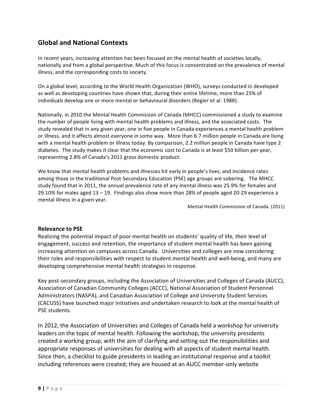# **Global and National Contexts**

In recent years, increasing attention has been focused on the mental health of societies locally, nationally and from a global perspective. Much of this focus is concentrated on the prevalence of mental illness, and the corresponding costs to society.

On a global level, according to the World Health Organization (WHO), surveys conducted in developed as well as developing countries have shown that, during their entire lifetime, more than 25% of individuals develop one or more mental or behavioural disorders (Regier et al. 1988).

Nationally, in 2010 the Mental Health Commission of Canada (MHCC) commissioned a study to examine the number of people living with mental health problems and illness, and the associated costs. The study revealed that in any given year, one in five people in Canada experiences a mental health problem or illness, and it affects almost everyone in some way. More than 6.7 million people in Canada are living with a mental health problem or illness today. By comparison, 2.2 million people in Canada have type 2 diabetes. The study makes it clear that the economic cost to Canada is at least \$50 billion per year, representing 2.8% of Canada's 2011 gross domestic product.

We know that mental health problems and illnesses hit early in people's lives, and incidence rates among those in the traditional Post-Secondary Education (PSE) age groups are sobering. The MHCC study found that in 2011, the annual prevalence rate of any mental illness was 25.9% for females and 29.10% for males aged  $13 - 19$ . Findings also show more than 28% of people aged 20-29 experience a mental illness in a given year.

Mental Health Commission of Canada. (2011)

## **Relevance to PSE**

Realizing the potential impact of poor mental health on students' quality of life, their level of engagement, success and retention, the importance of student mental health has been gaining increasing attention on campuses across Canada. Universities and colleges are now considering their roles and responsibilities with respect to student mental health and well-being, and many are developing comprehensive mental health strategies in response.

Key post-secondary groups, including the Association of Universities and Colleges of Canada (AUCC), Association of Canadian Community Colleges (ACCC), National Association of Student Personnel Administrators (NASPA), and Canadian Association of College and University Student Services (CACUSS) have launched major initiatives and undertaken research to look at the mental health of PSE students.

In 2012, the Association of Universities and Colleges of Canada held a workshop for university leaders on the topic of mental health. Following the workshop, the university presidents created a working group, with the aim of clarifying and setting out the responsibilities and appropriate responses of universities for dealing with all aspects of student mental health. Since then, a checklist to guide presidents in leading an institutional response and a toolkit including references were created; they are housed at an AUCC member-only website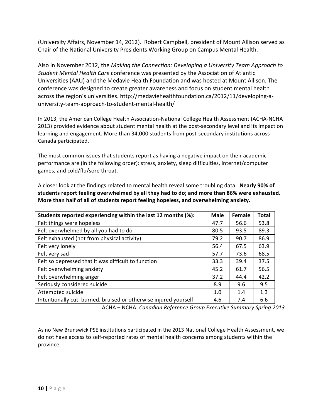(University Affairs, November 14, 2012). Robert Campbell, president of Mount Allison served as Chair of the National University Presidents Working Group on Campus Mental Health.

Also in November 2012, the *Making the Connection: Developing a University Team Approach to Student Mental Health Care* conference was presented by the Association of Atlantic Universities (AAU) and the Medavie Health Foundation and was hosted at Mount Allison. The conference was designed to create greater awareness and focus on student mental health across the region's universities. http://medaviehealthfoundation.ca/2012/11/developing-auniversity-team-approach-to-student-mental-health/

In 2013, the American College Health Association-National College Health Assessment (ACHA-NCHA 2013) provided evidence about student mental health at the post-secondary level and its impact on learning and engagement. More than 34,000 students from post-secondary institutions across Canada participated. 

The most common issues that students report as having a negative impact on their academic performance are (in the following order): stress, anxiety, sleep difficulties, internet/computer games, and cold/flu/sore throat.

A closer look at the findings related to mental health reveal some troubling data. Nearly 90% of students report feeling overwhelmed by all they had to do; and more than 86% were exhausted. More than half of all of students report feeling hopeless, and overwhelming anxiety.

| Students reported experiencing within the last 12 months (%):    | <b>Male</b> | Female | <b>Total</b> |  |  |
|------------------------------------------------------------------|-------------|--------|--------------|--|--|
| Felt things were hopeless                                        | 47.7        | 56.6   | 53.8         |  |  |
| Felt overwhelmed by all you had to do                            | 80.5        | 93.5   | 89.3         |  |  |
| Felt exhausted (not from physical activity)                      | 79.2        | 90.7   | 86.9         |  |  |
| Felt very lonely                                                 | 56.4        | 67.5   | 63.9         |  |  |
| Felt very sad                                                    | 57.7        | 73.6   | 68.5         |  |  |
| Felt so depressed that it was difficult to function              | 33.3        | 39.4   | 37.5         |  |  |
| Felt overwhelming anxiety                                        | 61.7        | 56.5   |              |  |  |
| Felt overwhelming anger                                          | 37.2        | 44.4   | 42.2         |  |  |
| Seriously considered suicide<br>8.9<br>9.6                       |             |        |              |  |  |
| Attempted suicide                                                | 1.0         | 1.4    | 1.3          |  |  |
| Intentionally cut, burned, bruised or otherwise injured yourself | 4.6         | 7.4    | 6.6          |  |  |

ACHA – NCHA: *Canadian Reference Group Executive Summary Spring 2013* 

As no New Brunswick PSE institutions participated in the 2013 National College Health Assessment, we do not have access to self-reported rates of mental health concerns among students within the province.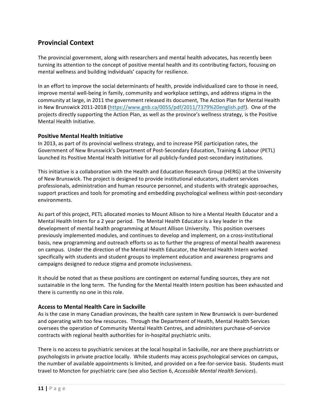# **Provincial Context**

The provincial government, along with researchers and mental health advocates, has recently been turning its attention to the concept of positive mental health and its contributing factors, focusing on mental wellness and building individuals' capacity for resilience.

In an effort to improve the social determinants of health, provide individualized care to those in need, improve mental well-being in family, community and workplace settings, and address stigma in the community at large, in 2011 the government released its document, The Action Plan for Mental Health in New Brunswick 2011-2018 (https://www.gnb.ca/0055/pdf/2011/7379%20english.pdf). One of the projects directly supporting the Action Plan, as well as the province's wellness strategy, is the Positive Mental Health Initiative.

### **Positive Mental Health Initiative**

In 2013, as part of its provincial wellness strategy, and to increase PSE participation rates, the Government of New Brunswick's Department of Post-Secondary Education, Training & Labour (PETL) launched its Positive Mental Health Initiative for all publicly-funded post-secondary institutions.

This initiative is a collaboration with the Health and Education Research Group (HERG) at the University of New Brunswick. The project is designed to provide institutional educators, student services professionals, administration and human resource personnel, and students with strategic approaches, support practices and tools for promoting and embedding psychological wellness within post-secondary environments.

As part of this project, PETL allocated monies to Mount Allison to hire a Mental Health Educator and a Mental Health Intern for a 2 year period. The Mental Health Educator is a key leader in the development of mental health programming at Mount Allison University. This position oversees previously implemented modules, and continues to develop and implement, on a cross-institutional basis, new programming and outreach efforts so as to further the progress of mental health awareness on campus. Under the direction of the Mental Health Educator, the Mental Health Intern worked specifically with students and student groups to implement education and awareness programs and campaigns designed to reduce stigma and promote inclusiveness.

It should be noted that as these positions are contingent on external funding sources, they are not sustainable in the long term. The funding for the Mental Health Intern position has been exhausted and there is currently no one in this role.

### **Access to Mental Health Care in Sackville**

As is the case in many Canadian provinces, the health care system in New Brunswick is over-burdened and operating with too few resources. Through the Department of Health, Mental Health Services oversees the operation of Community Mental Health Centres, and administers purchase-of-service contracts with regional health authorities for in-hospital psychiatric units.

There is no access to psychiatric services at the local hospital in Sackville, nor are there psychiatrists or psychologists in private practice locally. While students may access psychological services on campus, the number of available appointments is limited, and provided on a fee-for-service basis. Students must travel to Moncton for psychiatric care (see also Section 6, *Accessible Mental Health Services*).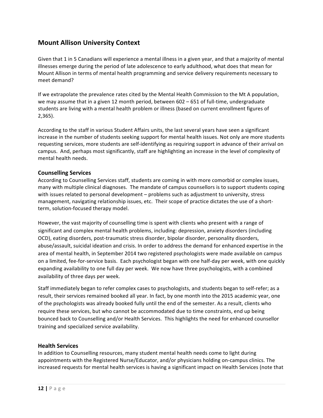## **Mount Allison University Context**

Given that 1 in 5 Canadians will experience a mental illness in a given year, and that a majority of mental illnesses emerge during the period of late adolescence to early adulthood, what does that mean for Mount Allison in terms of mental health programming and service delivery requirements necessary to meet demand?

If we extrapolate the prevalence rates cited by the Mental Health Commission to the Mt A population, we may assume that in a given 12 month period, between  $602 - 651$  of full-time, undergraduate students are living with a mental health problem or illness (based on current enrollment figures of 2,365). 

According to the staff in various Student Affairs units, the last several years have seen a significant increase in the number of students seeking support for mental health issues. Not only are more students requesting services, more students are self-identifying as requiring support in advance of their arrival on campus. And, perhaps most significantly, staff are highlighting an increase in the level of complexity of mental health needs.

## **Counselling Services**

According to Counselling Services staff, students are coming in with more comorbid or complex issues, many with multiple clinical diagnoses. The mandate of campus counsellors is to support students coping with issues related to personal development – problems such as adjustment to university, stress management, navigating relationship issues, etc. Their scope of practice dictates the use of a shortterm, solution-focused therapy model.

However, the vast majority of counselling time is spent with clients who present with a range of significant and complex mental health problems, including: depression, anxiety disorders (including OCD), eating disorders, post-traumatic stress disorder, bipolar disorder, personality disorders, abuse/assault, suicidal ideation and crisis. In order to address the demand for enhanced expertise in the area of mental health, in September 2014 two registered psychologists were made available on campus on a limited, fee-for-service basis. Each psychologist began with one half-day per week, with one quickly expanding availability to one full day per week. We now have three psychologists, with a combined availability of three days per week.

Staff immediately began to refer complex cases to psychologists, and students began to self-refer; as a result, their services remained booked all year. In fact, by one month into the 2015 academic year, one of the psychologists was already booked fully until the end of the semester. As a result, clients who require these services, but who cannot be accommodated due to time constraints, end up being bounced back to Counselling and/or Health Services. This highlights the need for enhanced counsellor training and specialized service availability.

### **Health Services**

In addition to Counselling resources, many student mental health needs come to light during appointments with the Registered Nurse/Educator, and/or physicians holding on-campus clinics. The increased requests for mental health services is having a significant impact on Health Services (note that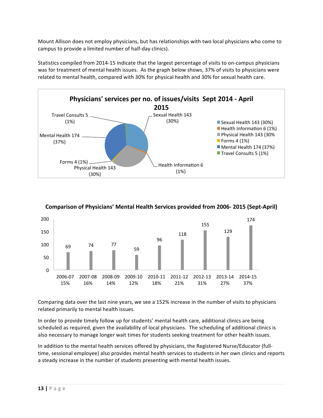Mount Allison does not employ physicians, but has relationships with two local physicians who come to campus to provide a limited number of half-day clinics).

Statistics compiled from 2014-15 indicate that the largest percentage of visits to on-campus physicians was for treatment of mental health issues. As the graph below shows, 37% of visits to physicians were related to mental health, compared with 30% for physical health and 30% for sexual health care.





## **Comparison of Physicians' Mental Health Services provided from 2006- 2015 (Sept-April)**

Comparing data over the last nine years, we see a 152% increase in the number of visits to physicians related primarily to mental health issues.

In order to provide timely follow up for students' mental health care, additional clinics are being scheduled as required, given the availability of local physicians. The scheduling of additional clinics is also necessary to manage longer wait times for students seeking treatment for other health issues.

In addition to the mental health services offered by physicians, the Registered Nurse/Educator (fulltime, sessional employee) also provides mental health services to students in her own clinics and reports a steady increase in the number of students presenting with mental health issues.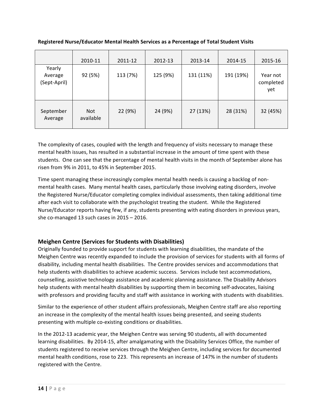|                                   | 2010-11                 | 2011-12  | 2012-13  | 2013-14   | 2014-15   | 2015-16                      |
|-----------------------------------|-------------------------|----------|----------|-----------|-----------|------------------------------|
| Yearly<br>Average<br>(Sept-April) | 92 (5%)                 | 113 (7%) | 125 (9%) | 131 (11%) | 191 (19%) | Year not<br>completed<br>yet |
| September<br>Average              | <b>Not</b><br>available | 22 (9%)  | 24 (9%)  | 27 (13%)  | 28 (31%)  | 32 (45%)                     |

**Registered Nurse/Educator Mental Health Services as a Percentage of Total Student Visits** 

The complexity of cases, coupled with the length and frequency of visits necessary to manage these mental health issues, has resulted in a substantial increase in the amount of time spent with these students. One can see that the percentage of mental health visits in the month of September alone has risen from 9% in 2011, to 45% in September 2015.

Time spent managing these increasingly complex mental health needs is causing a backlog of nonmental health cases. Many mental health cases, particularly those involving eating disorders, involve the Registered Nurse/Educator completing complex individual assessments, then taking additional time after each visit to collaborate with the psychologist treating the student. While the Registered Nurse/Educator reports having few, if any, students presenting with eating disorders in previous years, she co-managed  $13$  such cases in  $2015 - 2016$ .

## **Meighen Centre (Services for Students with Disabilities)**

Originally founded to provide support for students with learning disabilities, the mandate of the Meighen Centre was recently expanded to include the provision of services for students with all forms of disability, including mental health disabilities. The Centre provides services and accommodations that help students with disabilities to achieve academic success. Services include test accommodations, counselling, assistive technology assistance and academic planning assistance. The Disability Advisors help students with mental health disabilities by supporting them in becoming self-advocates, liaising with professors and providing faculty and staff with assistance in working with students with disabilities.

Similar to the experience of other student affairs professionals, Meighen Centre staff are also reporting an increase in the complexity of the mental health issues being presented, and seeing students presenting with multiple co-existing conditions or disabilities.

In the 2012-13 academic year, the Meighen Centre was serving 90 students, all with documented learning disabilities. By 2014-15, after amalgamating with the Disability Services Office, the number of students registered to receive services through the Meighen Centre, including services for documented mental health conditions, rose to 223. This represents an increase of 147% in the number of students registered with the Centre.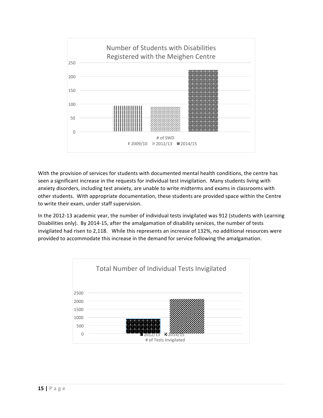

With the provision of services for students with documented mental health conditions, the centre has seen a significant increase in the requests for individual test invigilation. Many students living with anxiety disorders, including test anxiety, are unable to write midterms and exams in classrooms with other students. With appropriate documentation, these students are provided space within the Centre to write their exam, under staff supervision.

In the 2012-13 academic year, the number of individual tests invigilated was 912 (students with Learning Disabilities only). By 2014-15, after the amalgamation of disability services, the number of tests invigilated had risen to 2,118. While this represents an increase of 132%, no additional resources were provided to accommodate this increase in the demand for service following the amalgamation.

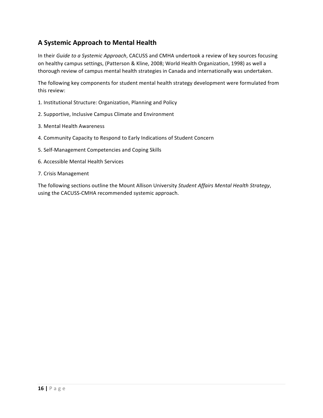# **A Systemic Approach to Mental Health**

In their *Guide to a Systemic Approach*, CACUSS and CMHA undertook a review of key sources focusing on healthy campus settings, (Patterson & Kline, 2008; World Health Organization, 1998) as well a thorough review of campus mental health strategies in Canada and internationally was undertaken.

The following key components for student mental health strategy development were formulated from this review:

- 1. Institutional Structure: Organization, Planning and Policy
- 2. Supportive, Inclusive Campus Climate and Environment
- 3. Mental Health Awareness
- 4. Community Capacity to Respond to Early Indications of Student Concern
- 5. Self-Management Competencies and Coping Skills
- 6. Accessible Mental Health Services
- 7. Crisis Management

The following sections outline the Mount Allison University Student Affairs Mental Health Strategy, using the CACUSS-CMHA recommended systemic approach.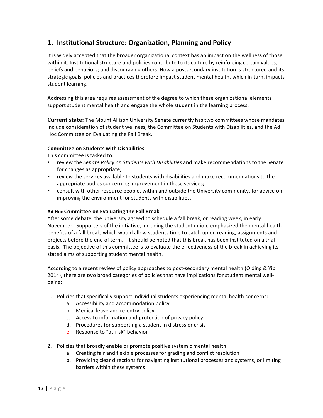# **1. Institutional Structure: Organization, Planning and Policy**

It is widely accepted that the broader organizational context has an impact on the wellness of those within it. Institutional structure and policies contribute to its culture by reinforcing certain values, beliefs and behaviors; and discouraging others. How a postsecondary institution is structured and its strategic goals, policies and practices therefore impact student mental health, which in turn, impacts student learning.

Addressing this area requires assessment of the degree to which these organizational elements support student mental health and engage the whole student in the learning process.

**Current state:** The Mount Allison University Senate currently has two committees whose mandates include consideration of student wellness, the Committee on Students with Disabilities, and the Ad Hoc Committee on Evaluating the Fall Break.

### **Committee on Students with Disabilities**

This committee is tasked to:

- review the *Senate Policy on Students with Disabilities* and make recommendations to the Senate for changes as appropriate;
- review the services available to students with disabilities and make recommendations to the appropriate bodies concerning improvement in these services;
- consult with other resource people, within and outside the University community, for advice on improving the environment for students with disabilities.

### **Ad Hoc Committee on Evaluating the Fall Break**

After some debate, the university agreed to schedule a fall break, or reading week, in early November. Supporters of the initiative, including the student union, emphasized the mental health benefits of a fall break, which would allow students time to catch up on reading, assignments and projects before the end of term. It should be noted that this break has been instituted on a trial basis. The objective of this committee is to evaluate the effectiveness of the break in achieving its stated aims of supporting student mental health.

According to a recent review of policy approaches to post-secondary mental health (Olding & Yip 2014), there are two broad categories of policies that have implications for student mental wellbeing:

- 1. Policies that specifically support individual students experiencing mental health concerns:
	- a. Accessibility and accommodation policy
	- b. Medical leave and re-entry policy
	- c. Access to information and protection of privacy policy
	- d. Procedures for supporting a student in distress or crisis
	- e. Response to "at-risk" behavior
- 2. Policies that broadly enable or promote positive systemic mental health:
	- a. Creating fair and flexible processes for grading and conflict resolution
	- b. Providing clear directions for navigating institutional processes and systems, or limiting barriers within these systems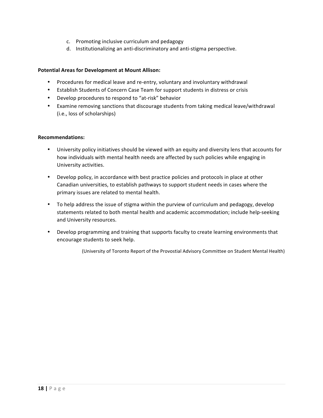- c. Promoting inclusive curriculum and pedagogy
- d. Institutionalizing an anti-discriminatory and anti-stigma perspective.

### **Potential Areas for Development at Mount Allison:**

- Procedures for medical leave and re-entry, voluntary and involuntary withdrawal
- Establish Students of Concern Case Team for support students in distress or crisis
- Develop procedures to respond to "at-risk" behavior
- Examine removing sanctions that discourage students from taking medical leave/withdrawal (i.e., loss of scholarships)

#### **Recommendations:**

- University policy initiatives should be viewed with an equity and diversity lens that accounts for how individuals with mental health needs are affected by such policies while engaging in University activities.
- Develop policy, in accordance with best practice policies and protocols in place at other Canadian universities, to establish pathways to support student needs in cases where the primary issues are related to mental health.
- To help address the issue of stigma within the purview of curriculum and pedagogy, develop statements related to both mental health and academic accommodation; include help-seeking and University resources.
- Develop programming and training that supports faculty to create learning environments that encourage students to seek help.

(University of Toronto Report of the Provostial Advisory Committee on Student Mental Health)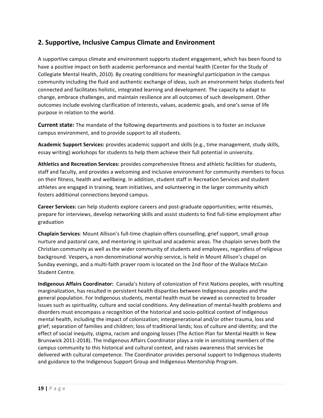# **2. Supportive, Inclusive Campus Climate and Environment**

A supportive campus climate and environment supports student engagement, which has been found to have a positive impact on both academic performance and mental health (Center for the Study of Collegiate Mental Health, 2010). By creating conditions for meaningful participation in the campus community including the fluid and authentic exchange of ideas, such an environment helps students feel connected and facilitates holistic, integrated learning and development. The capacity to adapt to change, embrace challenges, and maintain resilience are all outcomes of such development. Other outcomes include evolving clarification of interests, values, academic goals, and one's sense of life purpose in relation to the world.

**Current state:** The mandate of the following departments and positions is to foster an inclusive campus environment, and to provide support to all students.

Academic Support Services: provides academic support and skills (e.g., time management, study skills, essay writing) workshops for students to help them achieve their full potential in university.

Athletics and Recreation Services: provides comprehensive fitness and athletic facilities for students, staff and faculty, and provides a welcoming and inclusive environment for community members to focus on their fitness, health and wellbeing. In addition, student staff in Recreation Services and student athletes are engaged in training, team initiatives, and volunteering in the larger community which fosters additional connections beyond campus.

**Career Services:** can help students explore careers and post-graduate opportunities; write résumés, prepare for interviews, develop networking skills and assist students to find full-time employment after graduation

**Chaplain Services:** Mount Allison's full-time chaplain offers counselling, grief support, small group nurture and pastoral care, and mentoring in spiritual and academic areas. The chaplain serves both the Christian community as well as the wider community of students and employees, regardless of religious background. Vespers, a non-denominational worship service, is held in Mount Allison's chapel on Sunday evenings, and a multi-faith prayer room is located on the 2nd floor of the Wallace McCain Student Centre.

**Indigenous Affairs Coordinator:** Canada's history of colonization of First Nations peoples, with resulting marginalization, has resulted in persistent health disparities between Indigenous peoples and the general population. For Indigenous students, mental health must be viewed as connected to broader issues such as spirituality, culture and social conditions. Any delineation of mental-health problems and disorders must encompass a recognition of the historical and socio-political context of Indigenous mental health, including the impact of colonization; intergenerational and/or other trauma, loss and grief; separation of families and children; loss of traditional lands; loss of culture and identity; and the effect of social inequity, stigma, racism and ongoing losses (The Action Plan for Mental Health in New Brunswick 2011-2018). The Indigenous Affairs Coordinator plays a role in sensitizing members of the campus community to this historical and cultural context, and raises awareness that services be delivered with cultural competence. The Coordinator provides personal support to Indigenous students and guidance to the Indigenous Support Group and Indigenous Mentorship Program.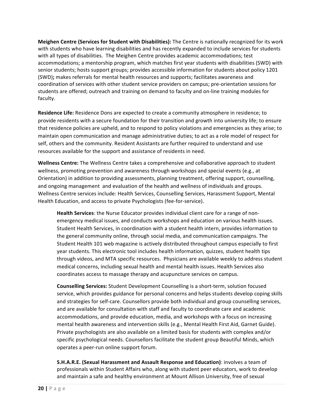**Meighen Centre (Services for Student with Disabilities):** The Centre is nationally recognized for its work with students who have learning disabilities and has recently expanded to include services for students with all types of disabilities. The Meighen Centre provides academic accommodations; test accommodations; a mentorship program, which matches first year students with disabilities (SWD) with senior students; hosts support groups; provides accessible information for students about policy 1201 (SWD); makes referrals for mental health resources and supports; facilitates awareness and coordination of services with other student service providers on campus; pre-orientation sessions for students are offered; outreach and training on demand to faculty and on-line training modules for faculty. 

**Residence Life:** Residence Dons are expected to create a community atmosphere in residence; to provide residents with a secure foundation for their transition and growth into university life; to ensure that residence policies are upheld, and to respond to policy violations and emergencies as they arise; to maintain open communication and manage administrative duties; to act as a role model of respect for self, others and the community. Resident Assistants are further required to understand and use resources available for the support and assistance of residents in need.

Wellness Centre: The Wellness Centre takes a comprehensive and collaborative approach to student wellness, promoting prevention and awareness through workshops and special events (e.g., at Orientation) in addition to providing assessments, planning treatment, offering support, counselling, and ongoing management and evaluation of the health and wellness of individuals and groups. Wellness Centre services include: Health Services, Counselling Services, Harassment Support, Mental Health Education, and access to private Psychologists (fee-for-service).

**Health Services**: the Nurse Educator provides individual client care for a range of nonemergency medical issues, and conducts workshops and education on various health issues. Student Health Services, in coordination with a student health intern, provides information to the general community online, through social media, and communication campaigns. The Student Health 101 web magazine is actively distributed throughout campus especially to first year students. This electronic tool includes health information, quizzes, student health tips through videos, and MTA specific resources. Physicians are available weekly to address student medical concerns, including sexual health and mental health issues. Health Services also coordinates access to massage therapy and acupuncture services on campus.

**Counselling Services:** Student Development Counselling is a short-term, solution focused service, which provides guidance for personal concerns and helps students develop coping skills and strategies for self-care. Counsellors provide both individual and group counselling services, and are available for consultation with staff and faculty to coordinate care and academic accommodations, and provide education, media, and workshops with a focus on increasing mental health awareness and intervention skills (e.g., Mental Health First Aid, Garnet Guide). Private psychologists are also available on a limited basis for students with complex and/or specific psychological needs. Counsellors facilitate the student group Beautiful Minds, which operates a peer-run online support forum.

**S.H.A.R.E. (Sexual Harassment and Assault Response and Education)**: involves a team of professionals within Student Affairs who, along with student peer educators, work to develop and maintain a safe and healthy environment at Mount Allison University, free of sexual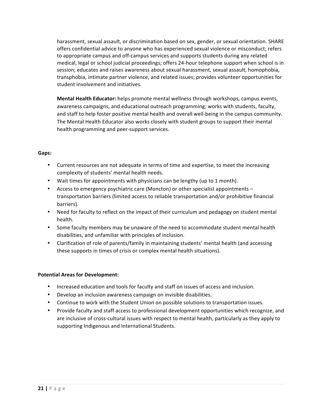harassment, sexual assault, or discrimination based on sex, gender, or sexual orientation. SHARE offers confidential advice to anyone who has experienced sexual violence or misconduct; refers to appropriate campus and off-campus services and supports students during any related medical, legal or school judicial proceedings; offers 24-hour telephone support when school is in session; educates and raises awareness about sexual harassment, sexual assault, homophobia, transphobia, intimate partner violence, and related issues; provides volunteer opportunities for student involvement and initiatives.

**Mental Health Educator:** helps promote mental wellness through workshops, campus events, awareness campaigns, and educational outreach programming; works with students, faculty, and staff to help foster positive mental health and overall well-being in the campus community. The Mental Health Educator also works closely with student groups to support their mental health programming and peer-support services.

### **Gaps:**

- Current resources are not adequate in terms of time and expertise, to meet the increasing complexity of students' mental health needs.
- Wait times for appointments with physicians can be lengthy (up to 1 month).
- Access to emergency psychiatric care (Moncton) or other specialist appointments transportation barriers (limited access to reliable transportation and/or prohibitive financial barriers).
- Need for faculty to reflect on the impact of their curriculum and pedagogy on student mental health.
- Some faculty members may be unaware of the need to accommodate student mental health disabilities, and unfamiliar with principles of inclusion.
- Clarification of role of parents/family in maintaining students' mental health (and accessing these supports in times of crisis or complex mental health situations).

## **Potential Areas for Development:**

- Increased education and tools for faculty and staff on issues of access and inclusion.
- Develop an inclusion awareness campaign on invisible disabilities.
- Continue to work with the Student Union on possible solutions to transportation issues.
- Provide faculty and staff access to professional development opportunities which recognize, and are inclusive of cross-cultural issues with respect to mental health, particularly as they apply to supporting Indigenous and International Students.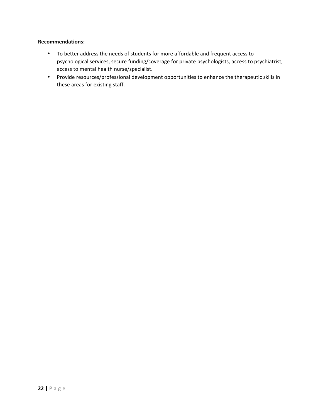### **Recommendations:**

- To better address the needs of students for more affordable and frequent access to psychological services, secure funding/coverage for private psychologists, access to psychiatrist, access to mental health nurse/specialist.
- Provide resources/professional development opportunities to enhance the therapeutic skills in these areas for existing staff.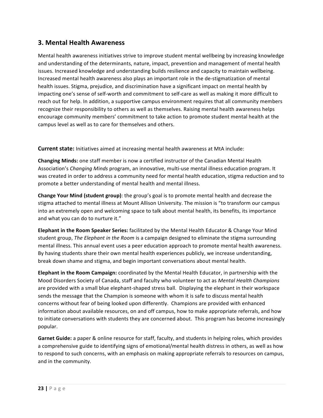## **3. Mental Health Awareness**

Mental health awareness initiatives strive to improve student mental wellbeing by increasing knowledge and understanding of the determinants, nature, impact, prevention and management of mental health issues. Increased knowledge and understanding builds resilience and capacity to maintain wellbeing. Increased mental health awareness also plays an important role in the de-stigmatization of mental health issues. Stigma, prejudice, and discrimination have a significant impact on mental health by impacting one's sense of self-worth and commitment to self-care as well as making it more difficult to reach out for help. In addition, a supportive campus environment requires that all community members recognize their responsibility to others as well as themselves. Raising mental health awareness helps encourage community members' commitment to take action to promote student mental health at the campus level as well as to care for themselves and others.

**Current state:** Initiatives aimed at increasing mental health awareness at MtA include:

**Changing Minds:** one staff member is now a certified instructor of the Canadian Mental Health Association's *Changing Minds* program, an innovative, multi-use mental illness education program. It was created in order to address a community need for mental health education, stigma reduction and to promote a better understanding of mental health and mental illness.

**Change Your Mind (student group)**: the group's goal is to promote mental health and decrease the stigma attached to mental illness at Mount Allison University. The mission is "to transform our campus into an extremely open and welcoming space to talk about mental health, its benefits, its importance and what you can do to nurture it."

**Elephant in the Room Speaker Series:** facilitated by the Mental Health Educator & Change Your Mind student group, *The Elephant in the Room* is a campaign designed to eliminate the stigma surrounding mental illness. This annual event uses a peer education approach to promote mental health awareness. By having students share their own mental health experiences publicly, we increase understanding, break down shame and stigma, and begin important conversations about mental health.

**Elephant in the Room Campaign:** coordinated by the Mental Health Educator, in partnership with the Mood Disorders Society of Canada, staff and faculty who volunteer to act as *Mental Health Champions* are provided with a small blue elephant-shaped stress ball. Displaying the elephant in their workspace sends the message that the Champion is someone with whom it is safe to discuss mental health concerns without fear of being looked upon differently. Champions are provided with enhanced information about available resources, on and off campus, how to make appropriate referrals, and how to initiate conversations with students they are concerned about. This program has become increasingly popular.

**Garnet Guide:** a paper & online resource for staff, faculty, and students in helping roles, which provides a comprehensive guide to identifying signs of emotional/mental health distress in others, as well as how to respond to such concerns, with an emphasis on making appropriate referrals to resources on campus, and in the community.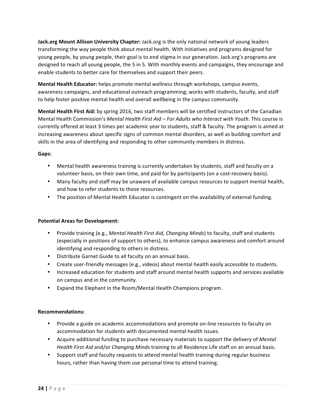**Jack.org Mount Allison University Chapter:** Jack.org is the only national network of young leaders transforming the way people think about mental health. With initiatives and programs designed for young people, by young people, their goal is to end stigma in our generation. Jack.org's programs are designed to reach all young people, the 5 in 5. With monthly events and campaigns, they encourage and enable students to better care for themselves and support their peers.

**Mental Health Educator:** helps promote mental wellness through workshops, campus events, awareness campaigns, and educational outreach programming; works with students, faculty, and staff to help foster positive mental health and overall wellbeing in the campus community.

**Mental Health First Aid:** by spring 2016, two staff members will be certified instructors of the Canadian Mental Health Commission's Mental Health First Aid – For Adults who Interact with Youth. This course is currently offered at least 3 times per academic year to students, staff & faculty. The program is aimed at increasing awareness about specific signs of common mental disorders, as well as building comfort and skills in the area of identifying and responding to other community members in distress.

## **Gaps:**

- Mental health awareness training is currently undertaken by students, staff and faculty on a volunteer basis, on their own time, and paid for by participants (on a cost-recovery basis).
- Many faculty and staff may be unaware of available campus resources to support mental health, and how to refer students to those resources.
- The position of Mental Health Educator is contingent on the availability of external funding.

## **Potential Areas for Development:**

- Provide training (e.g., *Mental Health First Aid, Changing Minds*) to faculty, staff and students (especially in positions of support to others), to enhance campus awareness and comfort around identifying and responding to others in distress.
- Distribute Garnet Guide to all faculty on an annual basis.
- Create user-friendly messages (e.g., videos) about mental health easily accessible to students.
- Increased education for students and staff around mental health supports and services available on campus and in the community.
- Expand the Elephant in the Room/Mental Health Champions program.

## **Recommendations:**

- Provide a guide on academic accommodations and promote on-line resources to faculty on accommodation for students with documented mental health issues.
- Acquire additional funding to purchase necessary materials to support the delivery of *Mental* Health First Aid and/or *Changing Minds* training to all Residence Life staff on an annual basis.
- Support staff and faculty requests to attend mental health training during regular business hours, rather than having them use personal time to attend training.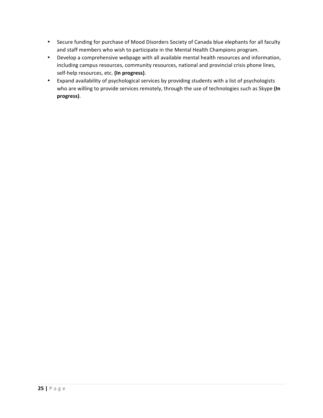- Secure funding for purchase of Mood Disorders Society of Canada blue elephants for all faculty and staff members who wish to participate in the Mental Health Champions program.
- Develop a comprehensive webpage with all available mental health resources and information, including campus resources, community resources, national and provincial crisis phone lines, self-help resources, etc. (In progress).
- Expand availability of psychological services by providing students with a list of psychologists who are willing to provide services remotely, through the use of technologies such as Skype (In **progress)**.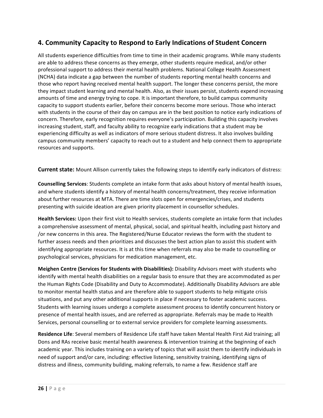# **4. Community Capacity to Respond to Early Indications of Student Concern**

All students experience difficulties from time to time in their academic programs. While many students are able to address these concerns as they emerge, other students require medical, and/or other professional support to address their mental health problems. National College Health Assessment (NCHA) data indicate a gap between the number of students reporting mental health concerns and those who report having received mental health support. The longer these concerns persist, the more they impact student learning and mental health. Also, as their issues persist, students expend increasing amounts of time and energy trying to cope. It is important therefore, to build campus community capacity to support students earlier, before their concerns become more serious. Those who interact with students in the course of their day on campus are in the best position to notice early indications of concern. Therefore, early recognition requires everyone's participation. Building this capacity involves increasing student, staff, and faculty ability to recognize early indications that a student may be experiencing difficulty as well as indicators of more serious student distress. It also involves building campus community members' capacity to reach out to a student and help connect them to appropriate resources and supports.

**Current state:** Mount Allison currently takes the following steps to identify early indicators of distress:

**Counselling Services**: Students complete an intake form that asks about history of mental health issues, and where students identify a history of mental health concerns/treatment, they receive information about further resources at MTA. There are time slots open for emergencies/crises, and students presenting with suicide ideation are given priority placement in counsellor schedules.

**Health Services:** Upon their first visit to Health services, students complete an intake form that includes a comprehensive assessment of mental, physical, social, and spiritual health, including past history and /or new concerns in this area. The Registered/Nurse Educator reviews the form with the student to further assess needs and then prioritizes and discusses the best action plan to assist this student with identifying appropriate resources. It is at this time when referrals may also be made to counselling or psychological services, physicians for medication management, etc.

**Meighen Centre (Services for Students with Disabilities):** Disability Advisors meet with students who identify with mental health disabilities on a regular basis to ensure that they are accommodated as per the Human Rights Code (Disability and Duty to Accommodate). Additionally Disability Advisors are able to monitor mental health status and are therefore able to support students to help mitigate crisis situations, and put any other additional supports in place if necessary to foster academic success. Students with learning issues undergo a complete assessment process to identify concurrent history or presence of mental health issues, and are referred as appropriate. Referrals may be made to Health Services, personal counselling or to external service providers for complete learning assessments.

Residence Life: Several members of Residence Life staff have taken Mental Health First Aid training; all Dons and RAs receive basic mental health awareness & intervention training at the beginning of each academic year. This includes training on a variety of topics that will assist them to identify individuals in need of support and/or care, including: effective listening, sensitivity training, identifying signs of distress and illness, community building, making referrals, to name a few. Residence staff are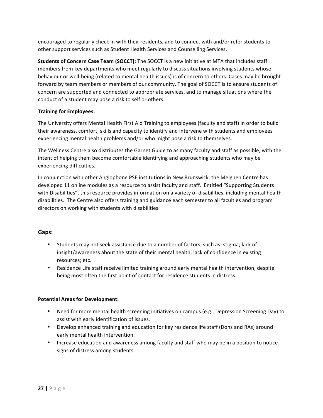encouraged to regularly check in with their residents, and to connect with and/or refer students to other support services such as Student Health Services and Counselling Services.

**Students of Concern Case Team (SOCCT):** The SOCCT is a new initiative at MTA that includes staff members from key departments who meet regularly to discuss situations involving students whose behaviour or well-being (related to mental health issues) is of concern to others. Cases may be brought forward by team members or members of our community. The goal of SOCCT is to ensure students of concern are supported and connected to appropriate services, and to manage situations where the conduct of a student may pose a risk to self or others.

### **Training for Employees:**

The University offers Mental Health First Aid Training to employees (faculty and staff) in order to build their awareness, comfort, skills and capacity to identify and intervene with students and employees experiencing mental health problems and/or who might pose a risk to themselves.

The Wellness Centre also distributes the Garnet Guide to as many faculty and staff as possible, with the intent of helping them become comfortable identifying and approaching students who may be experiencing difficulties.

In conjunction with other Anglophone PSE institutions in New Brunswick, the Meighen Centre has developed 11 online modules as a resource to assist faculty and staff. Entitled "Supporting Students with Disabilities", this resource provides information on a variety of disabilities, including mental health disabilities. The Centre also offers training and guidance each semester to all faculties and program directors on working with students with disabilities.

## **Gaps:**

- Students may not seek assistance due to a number of factors, such as: stigma; lack of insight/awareness about the state of their mental health; lack of confidence in existing resources; etc.
- Residence Life staff receive limited training around early mental health intervention, despite being most often the first point of contact for residence students in distress.

### **Potential Areas for Development:**

- Need for more mental health screening initiatives on campus (e.g., Depression Screening Day) to assist with early identification of issues.
- Develop enhanced training and education for key residence life staff (Dons and RAs) around early mental health intervention.
- Increase education and awareness among faculty and staff who may be in a position to notice signs of distress among students.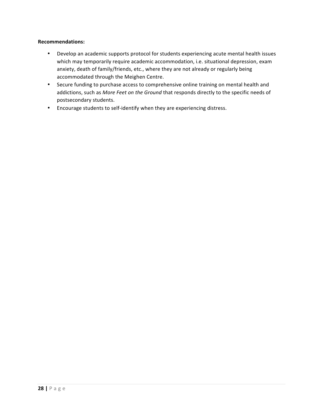### **Recommendations:**

- Develop an academic supports protocol for students experiencing acute mental health issues which may temporarily require academic accommodation, i.e. situational depression, exam anxiety, death of family/friends, etc., where they are not already or regularly being accommodated through the Meighen Centre.
- Secure funding to purchase access to comprehensive online training on mental health and addictions, such as More Feet on the Ground that responds directly to the specific needs of postsecondary students.
- Encourage students to self-identify when they are experiencing distress.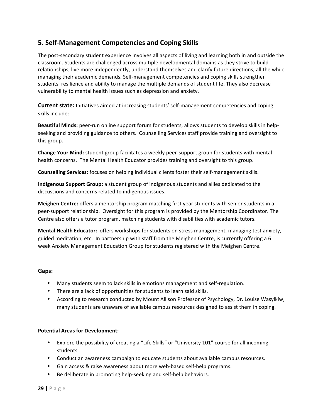# **5. Self-Management Competencies and Coping Skills**

The post-secondary student experience involves all aspects of living and learning both in and outside the classroom. Students are challenged across multiple developmental domains as they strive to build relationships, live more independently, understand themselves and clarify future directions, all the while managing their academic demands. Self-management competencies and coping skills strengthen students' resilience and ability to manage the multiple demands of student life. They also decrease vulnerability to mental health issues such as depression and anxiety.

**Current state:** Initiatives aimed at increasing students' self-management competencies and coping skills include:

**Beautiful Minds:** peer-run online support forum for students, allows students to develop skills in helpseeking and providing guidance to others. Counselling Services staff provide training and oversight to this group.

**Change Your Mind:** student group facilitates a weekly peer-support group for students with mental health concerns. The Mental Health Educator provides training and oversight to this group.

**Counselling Services:** focuses on helping individual clients foster their self-management skills.

Indigenous Support Group: a student group of indigenous students and allies dedicated to the discussions and concerns related to indigenous issues.

**Meighen Centre:** offers a mentorship program matching first year students with senior students in a peer-support relationship. Oversight for this program is provided by the Mentorship Coordinator. The Centre also offers a tutor program, matching students with disabilities with academic tutors.

**Mental Health Educator:** offers workshops for students on stress management, managing test anxiety, guided meditation, etc. In partnership with staff from the Meighen Centre, is currently offering a 6 week Anxiety Management Education Group for students registered with the Meighen Centre.

### **Gaps:**

- Many students seem to lack skills in emotions management and self-regulation.
- There are a lack of opportunities for students to learn said skills.
- According to research conducted by Mount Allison Professor of Psychology, Dr. Louise Wasylkiw, many students are unaware of available campus resources designed to assist them in coping.

### **Potential Areas for Development:**

- Explore the possibility of creating a "Life Skills" or "University 101" course for all incoming students.
- Conduct an awareness campaign to educate students about available campus resources.
- Gain access & raise awareness about more web-based self-help programs.
- Be deliberate in promoting help-seeking and self-help behaviors.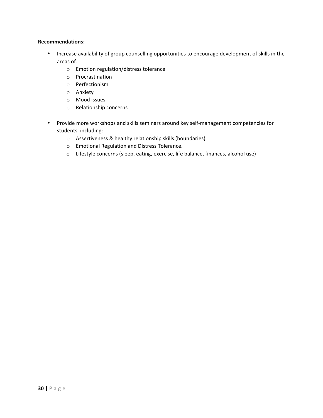#### **Recommendations:**

- Increase availability of group counselling opportunities to encourage development of skills in the areas of:
	- o Emotion regulation/distress tolerance
	- o Procrastination
	- o Perfectionism
	- o Anxiety
	- o Mood issues
	- o Relationship concerns
- Provide more workshops and skills seminars around key self-management competencies for students, including:
	- $\circ$  Assertiveness & healthy relationship skills (boundaries)
	- o Emotional Regulation and Distress Tolerance.
	- o Lifestyle concerns (sleep, eating, exercise, life balance, finances, alcohol use)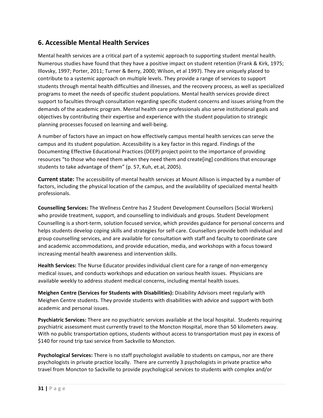# **6. Accessible Mental Health Services**

Mental health services are a critical part of a systemic approach to supporting student mental health. Numerous studies have found that they have a positive impact on student retention (Frank & Kirk, 1975; Illovsky, 1997; Porter, 2011; Turner & Berry, 2000; Wilson, et al 1997). They are uniquely placed to contribute to a systemic approach on multiple levels. They provide a range of services to support students through mental health difficulties and illnesses, and the recovery process, as well as specialized programs to meet the needs of specific student populations. Mental health services provide direct support to faculties through consultation regarding specific student concerns and issues arising from the demands of the academic program. Mental health care professionals also serve institutional goals and objectives by contributing their expertise and experience with the student population to strategic planning processes focused on learning and well-being.

A number of factors have an impact on how effectively campus mental health services can serve the campus and its student population. Accessibility is a key factor in this regard. Findings of the Documenting Effective Educational Practices (DEEP) project point to the importance of providing resources "to those who need them when they need them and create[ing] conditions that encourage students to take advantage of them" (p. 57, Kuh, et.al, 2005).

**Current state:** The accessibility of mental health services at Mount Allison is impacted by a number of factors, including the physical location of the campus, and the availability of specialized mental health professionals. 

**Counselling Services:** The Wellness Centre has 2 Student Development Counsellors (Social Workers) who provide treatment, support, and counselling to individuals and groups. Student Development Counselling is a short-term, solution focused service, which provides guidance for personal concerns and helps students develop coping skills and strategies for self-care. Counsellors provide both individual and group counselling services, and are available for consultation with staff and faculty to coordinate care and academic accommodations, and provide education, media, and workshops with a focus toward increasing mental health awareness and intervention skills.

**Health Services:** The Nurse Educator provides individual client care for a range of non-emergency medical issues, and conducts workshops and education on various health issues. Physicians are available weekly to address student medical concerns, including mental health issues.

**Meighen Centre (Services for Students with Disabilities):** Disability Advisors meet regularly with Meighen Centre students. They provide students with disabilities with advice and support with both academic and personal issues.

**Psychiatric Services:** There are no psychiatric services available at the local hospital. Students requiring psychiatric assessment must currently travel to the Moncton Hospital, more than 50 kilometers away. With no public transportation options, students without access to transportation must pay in excess of \$140 for round trip taxi service from Sackville to Moncton.

**Psychological Services:** There is no staff psychologist available to students on campus, nor are there psychologists in private practice locally. There are currently 3 psychologists in private practice who travel from Moncton to Sackville to provide psychological services to students with complex and/or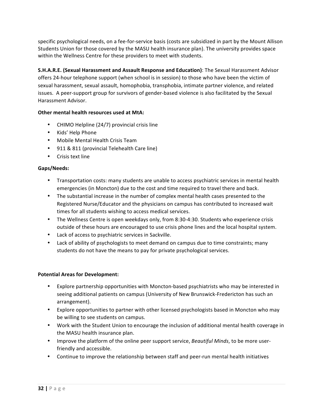specific psychological needs, on a fee-for-service basis (costs are subsidized in part by the Mount Allison Students Union for those covered by the MASU health insurance plan). The university provides space within the Wellness Centre for these providers to meet with students.

**S.H.A.R.E. (Sexual Harassment and Assault Response and Education)**: The Sexual Harassment Advisor offers 24-hour telephone support (when school is in session) to those who have been the victim of sexual harassment, sexual assault, homophobia, transphobia, intimate partner violence, and related issues. A peer-support group for survivors of gender-based violence is also facilitated by the Sexual Harassment Advisor.

## **Other mental health resources used at MtA:**

- CHIMO Helpline (24/7) provincial crisis line
- Kids' Help Phone
- Mobile Mental Health Crisis Team
- 911 & 811 (provincial Telehealth Care line)
- Crisis text line

### **Gaps/Needs:**

- Transportation costs: many students are unable to access psychiatric services in mental health emergencies (in Moncton) due to the cost and time required to travel there and back.
- The substantial increase in the number of complex mental health cases presented to the Registered Nurse/Educator and the physicians on campus has contributed to increased wait times for all students wishing to access medical services.
- The Wellness Centre is open weekdays only, from 8:30-4:30. Students who experience crisis outside of these hours are encouraged to use crisis phone lines and the local hospital system.
- Lack of access to psychiatric services in Sackville.
- Lack of ability of psychologists to meet demand on campus due to time constraints; many students do not have the means to pay for private psychological services.

## **Potential Areas for Development:**

- Explore partnership opportunities with Moncton-based psychiatrists who may be interested in seeing additional patients on campus (University of New Brunswick-Fredericton has such an arrangement).
- Explore opportunities to partner with other licensed psychologists based in Moncton who may be willing to see students on campus.
- Work with the Student Union to encourage the inclusion of additional mental health coverage in the MASU health insurance plan.
- Improve the platform of the online peer support service, *Beautiful Minds*, to be more userfriendly and accessible.
- Continue to improve the relationship between staff and peer-run mental health initiatives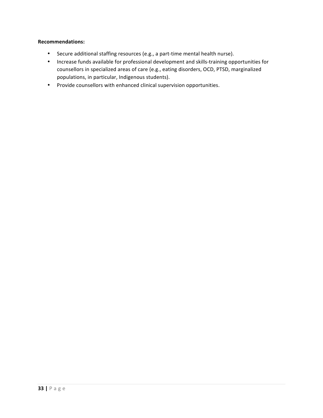### **Recommendations:**

- Secure additional staffing resources (e.g., a part-time mental health nurse).
- Increase funds available for professional development and skills-training opportunities for counsellors in specialized areas of care (e.g., eating disorders, OCD, PTSD, marginalized populations, in particular, Indigenous students).
- Provide counsellors with enhanced clinical supervision opportunities.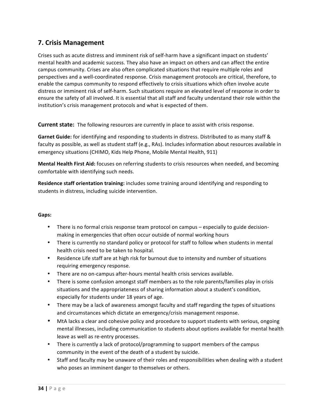# **7. Crisis Management**

Crises such as acute distress and imminent risk of self-harm have a significant impact on students' mental health and academic success. They also have an impact on others and can affect the entire campus community. Crises are also often complicated situations that require multiple roles and perspectives and a well-coordinated response. Crisis management protocols are critical, therefore, to enable the campus community to respond effectively to crisis situations which often involve acute distress or imminent risk of self-harm. Such situations require an elevated level of response in order to ensure the safety of all involved. It is essential that all staff and faculty understand their role within the institution's crisis management protocols and what is expected of them.

**Current state:** The following resources are currently in place to assist with crisis response.

Garnet Guide: for identifying and responding to students in distress. Distributed to as many staff & faculty as possible, as well as student staff (e.g., RAs). Includes information about resources available in emergency situations (CHIMO, Kids Help Phone, Mobile Mental Health, 911)

**Mental Health First Aid:** focuses on referring students to crisis resources when needed, and becoming comfortable with identifying such needs.

**Residence staff orientation training:** includes some training around identifying and responding to students in distress, including suicide intervention.

### **Gaps:**

- There is no formal crisis response team protocol on campus  $-$  especially to guide decisionmaking in emergencies that often occur outside of normal working hours
- There is currently no standard policy or protocol for staff to follow when students in mental health crisis need to be taken to hospital.
- Residence Life staff are at high risk for burnout due to intensity and number of situations requiring emergency response.
- There are no on-campus after-hours mental health crisis services available.
- There is some confusion amongst staff members as to the role parents/families play in crisis situations and the appropriateness of sharing information about a student's condition, especially for students under 18 years of age.
- There may be a lack of awareness amongst faculty and staff regarding the types of situations and circumstances which dictate an emergency/crisis management response.
- MtA lacks a clear and cohesive policy and procedure to support students with serious, ongoing mental illnesses, including communication to students about options available for mental health leave as well as re-entry processes.
- There is currently a lack of protocol/programming to support members of the campus community in the event of the death of a student by suicide.
- Staff and faculty may be unaware of their roles and responsibilities when dealing with a student who poses an imminent danger to themselves or others.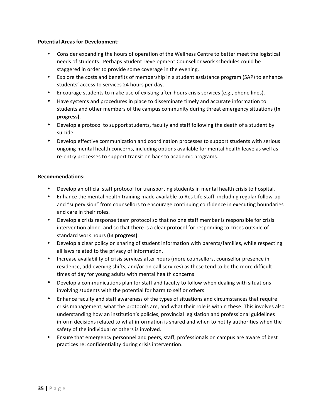### **Potential Areas for Development:**

- Consider expanding the hours of operation of the Wellness Centre to better meet the logistical needs of students. Perhaps Student Development Counsellor work schedules could be staggered in order to provide some coverage in the evening.
- Explore the costs and benefits of membership in a student assistance program (SAP) to enhance students' access to services 24 hours per day.
- Encourage students to make use of existing after-hours crisis services (e.g., phone lines).
- Have systems and procedures in place to disseminate timely and accurate information to students and other members of the campus community during threat emergency situations (In **progress)**.
- Develop a protocol to support students, faculty and staff following the death of a student by suicide.
- Develop effective communication and coordination processes to support students with serious ongoing mental health concerns, including options available for mental health leave as well as re-entry processes to support transition back to academic programs.

### **Recommendations:**

- Develop an official staff protocol for transporting students in mental health crisis to hospital.
- Enhance the mental health training made available to Res Life staff, including regular follow-up and "supervision" from counsellors to encourage continuing confidence in executing boundaries and care in their roles.
- Develop a crisis response team protocol so that no one staff member is responsible for crisis intervention alone, and so that there is a clear protocol for responding to crises outside of standard work hours (In progress).
- Develop a clear policy on sharing of student information with parents/families, while respecting all laws related to the privacy of information.
- Increase availability of crisis services after hours (more counsellors, counsellor presence in residence, add evening shifts, and/or on-call services) as these tend to be the more difficult times of day for young adults with mental health concerns.
- Develop a communications plan for staff and faculty to follow when dealing with situations involving students with the potential for harm to self or others.
- Enhance faculty and staff awareness of the types of situations and circumstances that require crisis management, what the protocols are, and what their role is within these. This involves also understanding how an institution's policies, provincial legislation and professional guidelines inform decisions related to what information is shared and when to notify authorities when the safety of the individual or others is involved.
- Ensure that emergency personnel and peers, staff, professionals on campus are aware of best practices re: confidentiality during crisis intervention.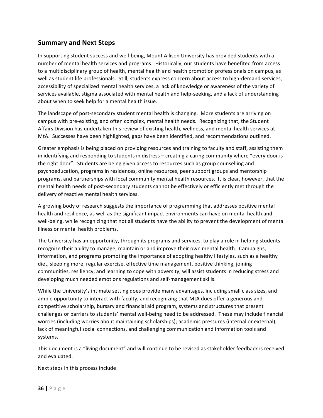## **Summary and Next Steps**

In supporting student success and well-being, Mount Allison University has provided students with a number of mental health services and programs. Historically, our students have benefited from access to a multidisciplinary group of health, mental health and health promotion professionals on campus, as well as student life professionals. Still, students express concern about access to high-demand services, accessibility of specialized mental health services, a lack of knowledge or awareness of the variety of services available, stigma associated with mental health and help-seeking, and a lack of understanding about when to seek help for a mental health issue.

The landscape of post-secondary student mental health is changing. More students are arriving on campus with pre-existing, and often complex, mental health needs. Recognizing that, the Student Affairs Division has undertaken this review of existing health, wellness, and mental health services at MtA. Successes have been highlighted, gaps have been identified, and recommendations outlined.

Greater emphasis is being placed on providing resources and training to faculty and staff, assisting them in identifying and responding to students in distress – creating a caring community where "every door is the right door". Students are being given access to resources such as group counselling and psychoeducation, programs in residences, online resources, peer support groups and mentorship programs, and partnerships with local community mental health resources. It is clear, however, that the mental health needs of post-secondary students cannot be effectively or efficiently met through the delivery of reactive mental health services.

A growing body of research suggests the importance of programming that addresses positive mental health and resilience, as well as the significant impact environments can have on mental health and well-being, while recognizing that not all students have the ability to prevent the development of mental illness or mental health problems.

The University has an opportunity, through its programs and services, to play a role in helping students recognize their ability to manage, maintain or and improve their own mental health. Campaigns, information, and programs promoting the importance of adopting healthy lifestyles, such as a healthy diet, sleeping more, regular exercise, effective time management, positive thinking, joining communities, resiliency, and learning to cope with adversity, will assist students in reducing stress and developing much needed emotions regulations and self-management skills.

While the University's intimate setting does provide many advantages, including small class sizes, and ample opportunity to interact with faculty, and recognizing that MtA does offer a generous and competitive scholarship, bursary and financial aid program, systems and structures that present challenges or barriers to students' mental well-being need to be addressed. These may include financial worries (including worries about maintaining scholarships); academic pressures (internal or external); lack of meaningful social connections, and challenging communication and information tools and systems. 

This document is a "living document" and will continue to be revised as stakeholder feedback is received and evaluated.

Next steps in this process include: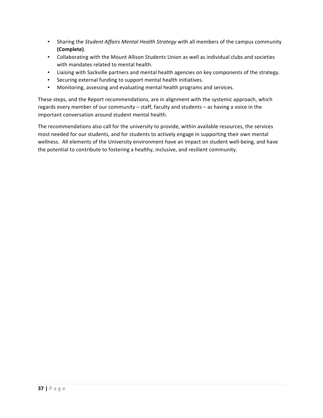- Sharing the *Student Affairs Mental Health Strategy* with all members of the campus community **(Complete)**.
- Collaborating with the Mount Allison Students Union as well as individual clubs and societies with mandates related to mental health.
- Liaising with Sackville partners and mental health agencies on key components of the strategy.
- Securing external funding to support mental health initiatives.
- Monitoring, assessing and evaluating mental health programs and services.

These steps, and the Report recommendations, are in alignment with the systemic approach, which regards every member of our community – staff, faculty and students – as having a voice in the important conversation around student mental health.

The recommendations also call for the university to provide, within available resources, the services most needed for our students, and for students to actively engage in supporting their own mental wellness. All elements of the University environment have an impact on student well-being, and have the potential to contribute to fostering a healthy, inclusive, and resilient community.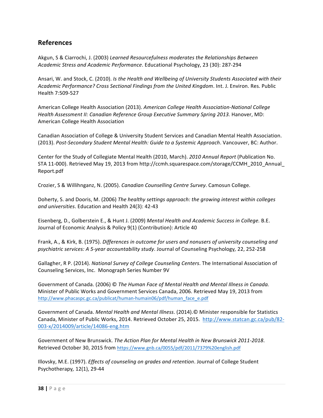## **References**

Akgun, S & Ciarrochi, J. (2003) Learned Resourcefulness moderates the Relationships Between *Academic Stress and Academic Performance*. Educational Psychology, 23 (30): 287-294

Ansari, W. and Stock, C. (2010). *Is the Health and Wellbeing of University Students Associated with their* Academic Performance? Cross Sectional Findings from the United Kingdom. Int. J. Environ. Res. Public Health 7:509-527

American College Health Association (2013). American College Health Association-National College *Health Assessment II: Canadian Reference Group Executive Summary Spring 2013.* Hanover, MD: American College Health Association

Canadian Association of College & University Student Services and Canadian Mental Health Association. (2013). Post-Secondary Student Mental Health: Guide to a Systemic Approach. Vancouver, BC: Author.

Center for the Study of Collegiate Mental Health (2010, March). 2010 Annual Report (Publication No. STA 11-000). Retrieved May 19, 2013 from http://ccmh.squarespace.com/storage/CCMH\_2010\_Annual\_ Report.pdf

Crozier, S & Willihnganz, N. (2005). *Canadian Counselling Centre Survey*. Camosun College.

Doherty, S. and Dooris, M. (2006) The healthy settings approach: the growing interest within colleges and universities. Education and Health 24(3): 42-43

Eisenberg, D., Golberstein E., & Hunt J. (2009) Mental Health and Academic Success in College. B.E. Journal of Economic Analysis & Policy 9(1) (Contribution): Article 40

Frank, A., & Kirk, B. (1975). *Differences in outcome for users and nonusers of university counseling and psychiatric services: A 5-year accountability study*. Journal of Counseling Psychology*,* 22, 252-258

Gallagher, R P. (2014). *National Survey of College Counseling Centers*. The International Association of Counseling Services, Inc. Monograph Series Number 9V

Government of Canada. (2006) © The Human Face of Mental Health and Mental Illness in Canada. Minister of Public Works and Government Services Canada, 2006. Retrieved May 19, 2013 from http://www.phacaspc.gc.ca/publicat/human-humain06/pdf/human\_face\_e.pdf

Government of Canada. *Mental Health and Mental Illness*. (2014).© Minister responsible for Statistics Canada, Minister of Public Works, 2014. Retrieved October 25, 2015. http://www.statcan.gc.ca/pub/82-003-x/2014009/article/14086-eng.htm

Government of New Brunswick. The Action Plan for Mental Health in New Brunswick 2011-2018. Retrieved October 30, 2015 from https://www.gnb.ca/0055/pdf/2011/7379%20english.pdf

Illovsky, M.E. (1997). *Effects of counseling on grades and retention*. Journal of College Student Psychotherapy*,* 12(1), 29-44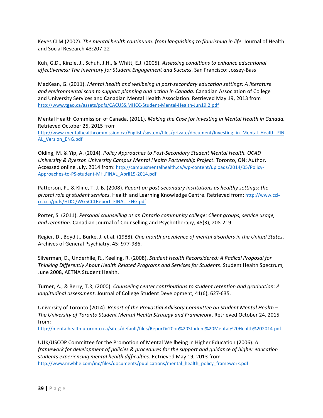Keyes CLM (2002). *The mental health continuum: from languishing to flourishing in life. Journal of Health* and Social Research 43:207-22

Kuh, G.D., Kinzie, J., Schuh, J.H., & Whitt, E.J. (2005). Assessing conditions to enhance educational effectiveness: The Inventory for Student Engagement and Success. San Francisco: Jossey-Bass

MacKean, G. (2011). Mental health and wellbeing in post-secondary education settings: A literature and environmental scan to support planning and action in Canada. Canadian Association of College and University Services and Canadian Mental Health Association. Retrieved May 19, 2013 from http://www.tgao.ca/assets/pdfs/CACUSS.MHCC-Student-Mental-Health-Jun19.2.pdf

Mental Health Commission of Canada. (2011). *Making the Case for Investing in Mental Health in Canada.* Retrieved October 25, 2015 from

http://www.mentalhealthcommission.ca/English/system/files/private/document/Investing\_in\_Mental\_Health\_FIN AL\_Version\_ENG.pdf

Olding, M. & Yip, A. (2014). *Policy Approaches to Post-Secondary Student Mental Health. OCAD* University & Ryerson University Campus Mental Health Partnership Project. Toronto, ON: Author. Accessed online July, 2014 from: http://campusmentalhealth.ca/wp-content/uploads/2014/05/Policy-Approaches-to-PS-student-MH.FINAL\_April15-2014.pdf

Patterson, P., & Kline, T. J. B. (2008). *Report on post-secondary institutions as healthy settings: the pivotal role of student services*. Health and Learning Knowledge Centre. Retrieved from: http://www.cclcca.ca/pdfs/HLKC/WG5CCLReport\_FINAL\_ENG.pdf

Porter, S. (2011). *Personal counselling at an Ontario community college: Client groups, service usage,* and retention. Canadian Journal of Counselling and Psychotherapy, 45(3), 208-219

Regier, D., Boyd J., Burke, J. et al. (1988). One month prevalence of mental disorders in the United States. Archives of General Psychiatry, 45: 977-986.

Silverman, D., Underhile, R., Keeling, R. (2008). Student Health Reconsidered: A Radical Proposal for *Thinking Differently About Health Related Programs and Services for Students*. Student Health Spectrum, June 2008, AETNA Student Health.

Turner, A., & Berry, T.R, (2000). *Counseling center contributions to student retention and graduation:* A *longitudinal assessment.* Journal of College Student Development, 41(6), 627-635.

University of Toronto (2014). *Report of the Provostial Advisory Committee on Student Mental Health* – *The University of Toronto Student Mental Health Strategy and Framework*. Retrieved October 24, 2015 from:

http://mentalhealth.utoronto.ca/sites/default/files/Report%20on%20Student%20Mental%20Health%202014.pdf

UUK/USCOP Committee for the Promotion of Mental Wellbeing in Higher Education (2006). A *framework* for development of policies & procedures for the support and quidance of higher education students experiencing mental health difficulties. Retrieved May 19, 2013 from http://www.mwbhe.com/inc/files/documents/publications/mental\_health\_policy\_framework.pdf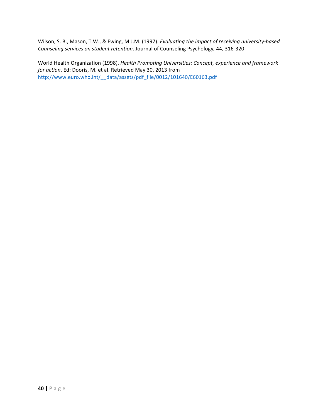Wilson, S. B., Mason, T.W., & Ewing, M.J.M. (1997). *Evaluating the impact of receiving university-based* Counseling services on student retention. Journal of Counseling Psychology, 44, 316-320

World Health Organization (1998). *Health Promoting Universities: Concept, experience and framework for action*. Ed: Dooris, M. et al. Retrieved May 30, 2013 from http://www.euro.who.int/\_\_data/assets/pdf\_file/0012/101640/E60163.pdf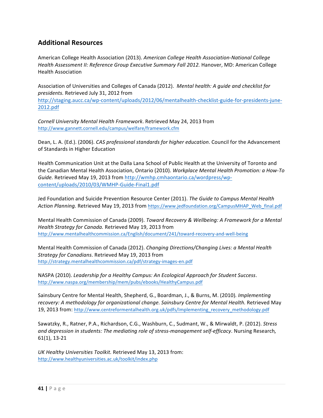# **Additional Resources**

American College Health Association (2013). American College Health Association-National College Health Assessment II: Reference Group Executive Summary Fall 2012. Hanover, MD: American College Health Association

Association of Universities and Colleges of Canada (2012). Mental health: A guide and checklist for *presidents.* Retrieved July 31, 2012 from 

http://staging.aucc.ca/wp-content/uploads/2012/06/mentalhealth-checklist-guide-for-presidents-june-2012.pdf

*Cornell University Mental Health Framework*. Retrieved May 24, 2013 from http://www.gannett.cornell.edu/campus/welfare/framework.cfm

Dean, L. A. (Ed.). (2006). *CAS professional standards for higher education*. Council for the Advancement of Standards in Higher Education

Health Communication Unit at the Dalla Lana School of Public Health at the University of Toronto and the Canadian Mental Health Association, Ontario (2010). Workplace Mental Health Promotion: a How-To Guide. Retrieved May 19, 2013 from http://wmhp.cmhaontario.ca/wordpress/wpcontent/uploads/2010/03/WMHP-Guide-Final1.pdf

Jed Foundation and Suicide Prevention Resource Center (2011). *The Guide to Campus Mental Health* Action Planning. Retrieved May 19, 2013 from https://www.jedfoundation.org/CampusMHAP\_Web\_final.pdf

Mental Health Commission of Canada (2009). *Toward Recovery & Wellbeing: A Framework for a Mental Health Strategy for Canada.* Retrieved May 19, 2013 from http://www.mentalhealthcommission.ca/English/document/241/toward-recovery-and-well-being

Mental Health Commission of Canada (2012). *Changing Directions/Changing Lives: a Mental Health Strategy for Canadians*. Retrieved May 19, 2013 from http://strategy.mentalhealthcommission.ca/pdf/strategy-images-en.pdf

NASPA (2010). Leadership for a Healthy Campus: An Ecological Approach for Student Success. http://www.naspa.org/membership/mem/pubs/ebooks/HealthyCampus.pdf

Sainsbury Centre for Mental Health, Shepherd, G., Boardman, J., & Burns, M. (2010). *Implementing* recovery: A methodology for organizational change. Sainsbury Centre for Mental Health. Retrieved May 19, 2013 from: http://www.centreformentalhealth.org.uk/pdfs/Implementing\_recovery\_methodology.pdf

Sawatzky, R., Ratner, P.A., Richardson, C.G., Washburn, C., Sudmant, W., & Mirwaldt, P. (2012). Stress and depression in students: The mediating role of stress-management self-efficacy. Nursing Research, 61(1), 13-21

*UK Healthy Universities Toolkit.* Retrieved May 13, 2013 from: http://www.healthyuniversities.ac.uk/toolkit/index.php